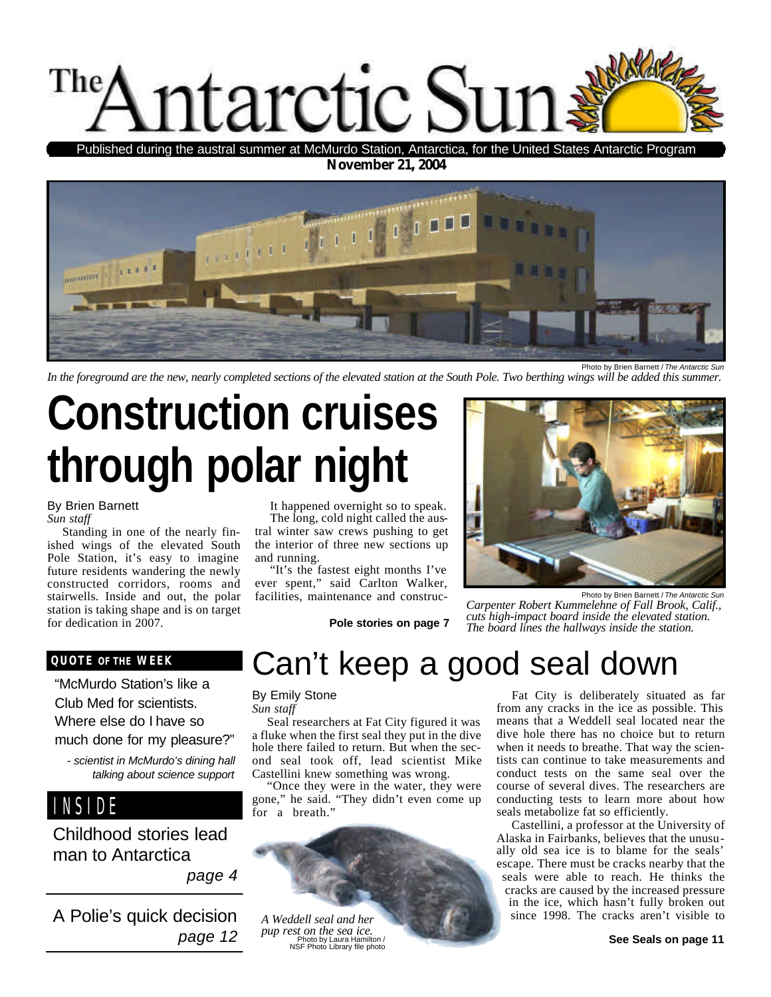

**November 21, 2004** Published during the austral summer at McMurdo Station, Antarctica, for the United States Antarctic Program



*In the foreground are the new, nearly completed sections of the elevated station at the South Pole. Two berthing wings will be added this summer.*

# **Construction cruises through polar night**

By Brien Barnett *Sun staff*

Standing in one of the nearly finished wings of the elevated South Pole Station, it's easy to imagine future residents wandering the newly constructed corridors, rooms and stairwells. Inside and out, the polar station is taking shape and is on target for dedication in 2007.

It happened overnight so to speak. The long, cold night called the austral winter saw crews pushing to get the interior of three new sections up and running.

"It's the fastest eight months I've ever spent," said Carlton Walker, facilities, maintenance and construc-

**Pole stories on page 7**



*Carpenter Robert Kummelehne of Fall Brook, Calif., cuts high-impact board inside the elevated station. The board lines the hallways inside the station.*

#### **QUOTE OF THE WEEK**

"McMurdo Station's like a Club Med for scientists. Where else do I have so much done for my pleasure?"

*- scientist in McMurdo's dining hall talking about science support*

INSIDE

Childhood stories lead man to Antarctica

*page 4*

A Polie's quick decision *page 12*

## Can't keep a good seal down

By Emily Stone

*Sun staff*

Seal researchers at Fat City figured it was a fluke when the first seal they put in the dive hole there failed to return. But when the second seal took off, lead scientist Mike Castellini knew something was wrong.

"Once they were in the water, they were gone," he said. "They didn't even come up for a breath.'



Fat City is deliberately situated as far from any cracks in the ice as possible. This means that a Weddell seal located near the dive hole there has no choice but to return when it needs to breathe. That way the scientists can continue to take measurements and conduct tests on the same seal over the course of several dives. The researchers are conducting tests to learn more about how seals metabolize fat so efficiently.

Castellini, a professor at the University of Alaska in Fairbanks, believes that the unusually old sea ice is to blame for the seals' escape. There must be cracks nearby that the seals were able to reach. He thinks the cracks are caused by the increased pressure in the ice, which hasn't fully broken out since 1998. The cracks aren't visible to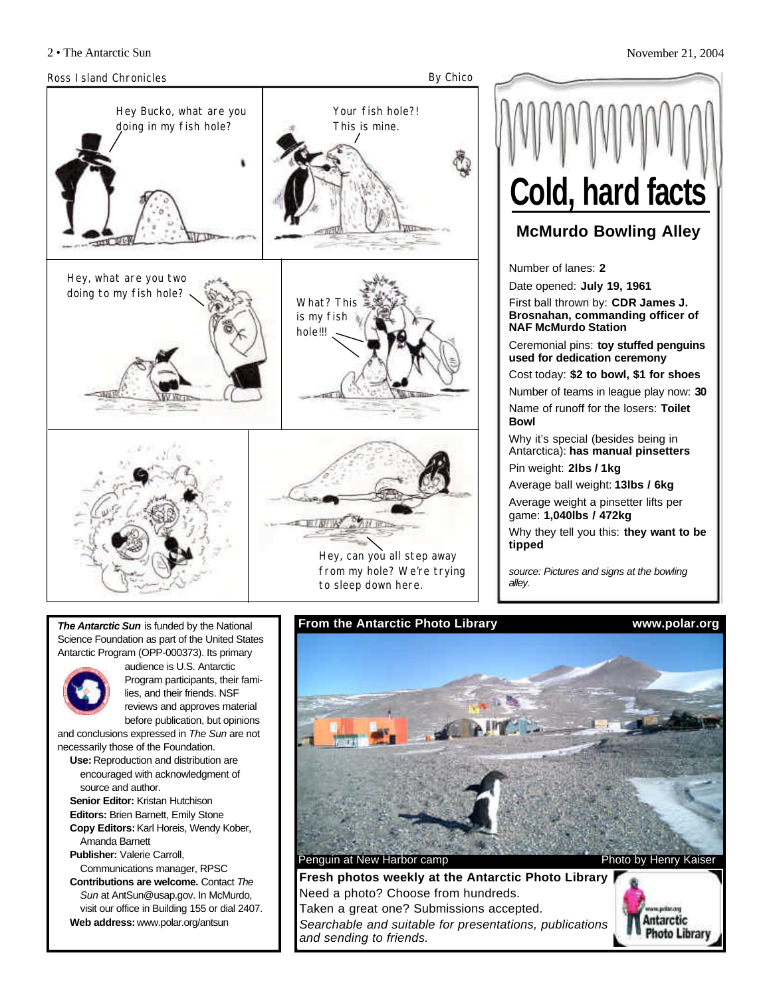

**McMurdo Bowling Alley** Number of lanes: **2** Date opened: **July 19, 1961** First ball thrown by: **CDR James J. Brosnahan, commanding officer of NAF McMurdo Station** Ceremonial pins: **toy stuffed penguins used for dedication ceremony** Cost today: **\$2 to bowl, \$1 for shoes** Number of teams in league play now: **30** Name of runoff for the losers: **Toilet Bowl** Why it's special (besides being in Antarctica): **has manual pinsetters** Pin weight: **2lbs / 1kg** Average ball weight: **13lbs / 6kg Cold, hard facts**

Average weight a pinsetter lifts per game: **1,040lbs / 472kg**

Why they tell you this: **they want to be tipped**

*source: Pictures and signs at the bowling alley.*

*The Antarctic Sun* is funded by the National Science Foundation as part of the United States Antarctic Program (OPP-000373). Its primary



audience is U.S. Antarctic Program participants, their families, and their friends. NSF reviews and approves material before publication, but opinions

and conclusions expressed in *The Sun* are not necessarily those of the Foundation.

- **Use:** Reproduction and distribution are encouraged with acknowledgment of source and author.
- **Senior Editor:** Kristan Hutchison **Editors:** Brien Barnett, Emily Stone **Copy Editors:**Karl Horeis, Wendy Kober,
- Amanda Barnett **Publisher:** Valerie Carroll,
- Communications manager, RPSC **Contributions are welcome.** Contact *The Sun* at AntSun@usap.gov. In McMurdo, visit our office in Building 155 or dial 2407. **Web address:** www.polar.org/antsun

**From the Antarctic Photo Library www.polar.org**



**Fresh photos weekly at the Antarctic Photo Library** Need a photo? Choose from hundreds. Taken a great one? Submissions accepted. *Searchable and suitable for presentations, publications and sending to friends.*

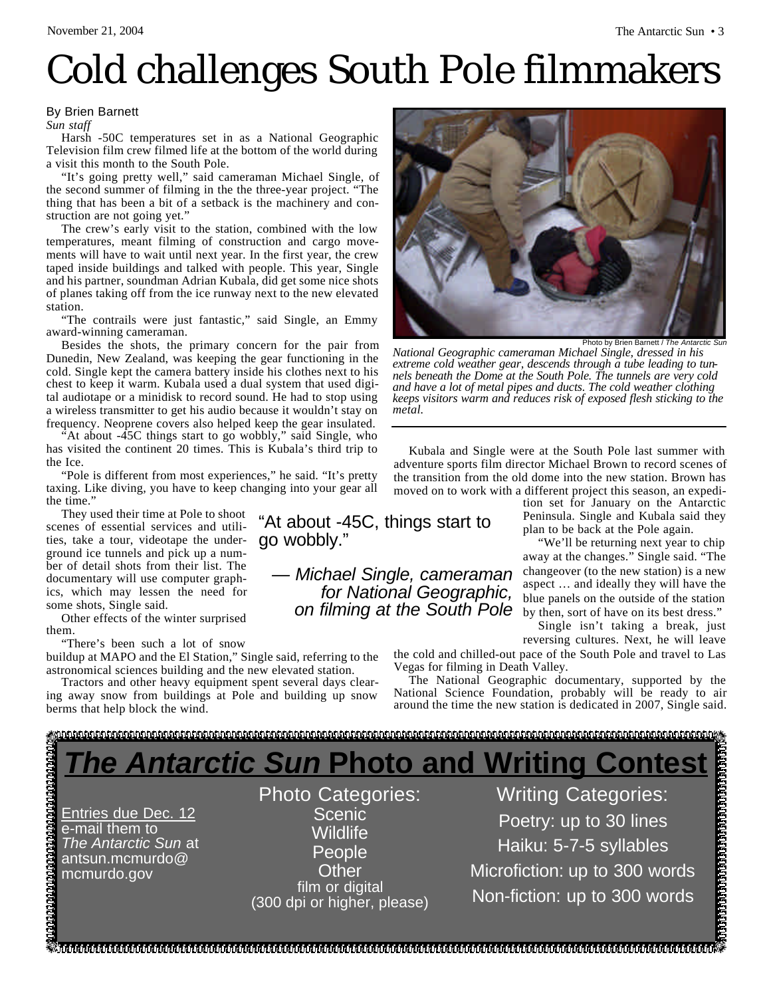## Cold challenges South Pole filmmakers

#### By Brien Barnett

*Sun staff*

Harsh -50C temperatures set in as a National Geographic Television film crew filmed life at the bottom of the world during a visit this month to the South Pole.

"It's going pretty well," said cameraman Michael Single, of the second summer of filming in the the three-year project. "The thing that has been a bit of a setback is the machinery and construction are not going yet."

The crew's early visit to the station, combined with the low temperatures, meant filming of construction and cargo movements will have to wait until next year. In the first year, the crew taped inside buildings and talked with people. This year, Single and his partner, soundman Adrian Kubala, did get some nice shots of planes taking off from the ice runway next to the new elevated station.

"The contrails were just fantastic," said Single, an Emmy award-winning cameraman.

Besides the shots, the primary concern for the pair from Dunedin, New Zealand, was keeping the gear functioning in the cold. Single kept the camera battery inside his clothes next to his chest to keep it warm. Kubala used a dual system that used digital audiotape or a minidisk to record sound. He had to stop using a wireless transmitter to get his audio because it wouldn't stay on frequency. Neoprene covers also helped keep the gear insulated.

At about -45C things start to go wobbly," said Single, who has visited the continent 20 times. This is Kubala's third trip to the Ice.

"Pole is different from most experiences," he said. "It's pretty taxing. Like diving, you have to keep changing into your gear all the time."

They used their time at Pole to shoot scenes of essential services and utilities, take a tour, videotape the underground ice tunnels and pick up a number of detail shots from their list. The documentary will use computer graphics, which may lessen the need for some shots, Single said.

Other effects of the winter surprised them.

"There's been such a lot of snow

buildup at MAPO and the El Station," Single said, referring to the astronomical sciences building and the new elevated station.

Tractors and other heavy equipment spent several days clearing away snow from buildings at Pole and building up snow berms that help block the wind.



*National Geographic cameraman Michael Single, dressed in his extreme cold weather gear, descends through a tube leading to tunnels beneath the Dome at the South Pole. The tunnels are very cold and have a lot of metal pipes and ducts. The cold weather clothing keeps visitors warm and reduces risk of exposed flesh sticking to the metal.*

Kubala and Single were at the South Pole last summer with adventure sports film director Michael Brown to record scenes of the transition from the old dome into the new station. Brown has moved on to work with a different project this season, an expedi-

tion set for January on the Antarctic Peninsula. Single and Kubala said they plan to be back at the Pole again.

"We'll be returning next year to chip away at the changes." Single said. "The changeover (to the new station) is a new aspect … and ideally they will have the blue panels on the outside of the station by then, sort of have on its best dress."

Single isn't taking a break, just reversing cultures. Next, he will leave

the cold and chilled-out pace of the South Pole and travel to Las Vegas for filming in Death Valley.

The National Geographic documentary, supported by the National Science Foundation, probably will be ready to air around the time the new station is dedicated in 2007, Single said.

### 

"At about -45C, things start to

*— Michael Single, cameraman for National Geographic, on filming at the South Pole*

*The Antarctic Sun* **Photo and Writing Contest**

go wobbly."

Entries due Dec. 12 e-mail them to *The Antarctic Sun* at antsun.mcmurdo@ mcmurdo.gov

Photo Categories: Scenic Wildlife **People Other** film or digital (300 dpi or higher, please)

Writing Categories: Poetry: up to 30 lines Haiku: 5-7-5 syllables Microfiction: up to 300 words Non-fiction: up to 300 words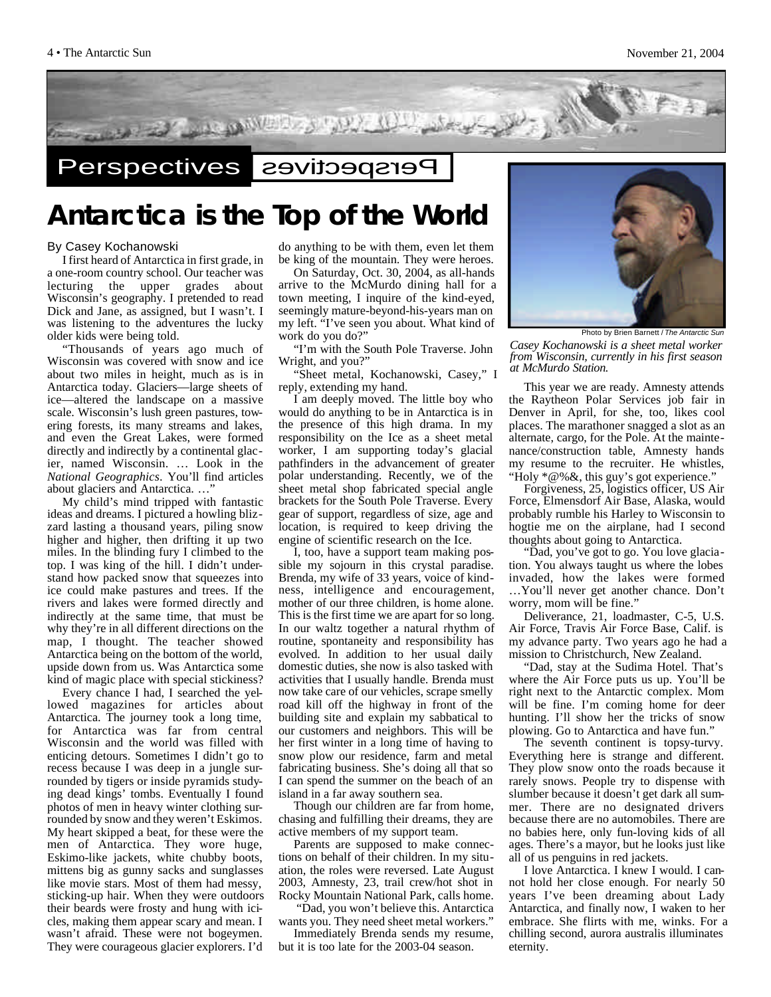

### **Antarctica is the Top of the World**

#### By Casey Kochanowski

I first heard of Antarctica in first grade, in a one-room country school. Our teacher was lecturing the upper grades about Wisconsin's geography. I pretended to read Dick and Jane, as assigned, but I wasn't. I was listening to the adventures the lucky older kids were being told.

"Thousands of years ago much of Wisconsin was covered with snow and ice about two miles in height, much as is in Antarctica today. Glaciers—large sheets of ice—altered the landscape on a massive scale. Wisconsin's lush green pastures, towering forests, its many streams and lakes, and even the Great Lakes, were formed directly and indirectly by a continental glacier, named Wisconsin. … Look in the *National Geographics*. You'll find articles about glaciers and Antarctica. …"

My child's mind tripped with fantastic ideas and dreams. I pictured a howling blizzard lasting a thousand years, piling snow higher and higher, then drifting it up two miles. In the blinding fury I climbed to the top. I was king of the hill. I didn't understand how packed snow that squeezes into ice could make pastures and trees. If the rivers and lakes were formed directly and indirectly at the same time, that must be why they're in all different directions on the map, I thought. The teacher showed Antarctica being on the bottom of the world, upside down from us. Was Antarctica some kind of magic place with special stickiness?

Every chance I had, I searched the yellowed magazines for articles about Antarctica. The journey took a long time, for Antarctica was far from central Wisconsin and the world was filled with enticing detours. Sometimes I didn't go to recess because I was deep in a jungle surrounded by tigers or inside pyramids studying dead kings' tombs. Eventually I found photos of men in heavy winter clothing surrounded by snow and they weren't Eskimos. My heart skipped a beat, for these were the men of Antarctica. They wore huge, Eskimo-like jackets, white chubby boots, mittens big as gunny sacks and sunglasses like movie stars. Most of them had messy, sticking-up hair. When they were outdoors their beards were frosty and hung with icicles, making them appear scary and mean. I wasn't afraid. These were not bogeymen. They were courageous glacier explorers. I'd

do anything to be with them, even let them be king of the mountain. They were heroes.

On Saturday, Oct. 30, 2004, as all-hands arrive to the McMurdo dining hall for a town meeting, I inquire of the kind-eyed, seemingly mature-beyond-his-years man on my left. "I've seen you about. What kind of work do you do?"

"I'm with the South Pole Traverse. John Wright, and you?"

"Sheet metal, Kochanowski, Casey," I reply, extending my hand.

I am deeply moved. The little boy who would do anything to be in Antarctica is in the presence of this high drama. In my responsibility on the Ice as a sheet metal worker, I am supporting today's glacial pathfinders in the advancement of greater polar understanding. Recently, we of the sheet metal shop fabricated special angle brackets for the South Pole Traverse. Every gear of support, regardless of size, age and location, is required to keep driving the engine of scientific research on the Ice.

I, too, have a support team making possible my sojourn in this crystal paradise. Brenda, my wife of 33 years, voice of kindness, intelligence and encouragement, mother of our three children, is home alone. This is the first time we are apart for so long. In our waltz together a natural rhythm of routine, spontaneity and responsibility has evolved. In addition to her usual daily domestic duties, she now is also tasked with activities that I usually handle. Brenda must now take care of our vehicles, scrape smelly road kill off the highway in front of the building site and explain my sabbatical to our customers and neighbors. This will be her first winter in a long time of having to snow plow our residence, farm and metal fabricating business. She's doing all that so I can spend the summer on the beach of an island in a far away southern sea.

Though our children are far from home, chasing and fulfilling their dreams, they are active members of my support team.

Parents are supposed to make connections on behalf of their children. In my situation, the roles were reversed. Late August 2003, Amnesty, 23, trail crew/hot shot in Rocky Mountain National Park, calls home.

"Dad, you won't believe this. Antarctica wants you. They need sheet metal workers."

Immediately Brenda sends my resume, but it is too late for the 2003-04 season.



*Casey Kochanowski is a sheet metal worker from Wisconsin, currently in his first season at McMurdo Station.* 

This year we are ready. Amnesty attends the Raytheon Polar Services job fair in Denver in April, for she, too, likes cool places. The marathoner snagged a slot as an alternate, cargo, for the Pole. At the maintenance/construction table, Amnesty hands my resume to the recruiter. He whistles, "Holy \*@%&, this guy's got experience."

Forgiveness, 25, logistics officer, US Air Force, Elmensdorf Air Base, Alaska, would probably rumble his Harley to Wisconsin to hogtie me on the airplane, had I second thoughts about going to Antarctica.

"Dad, you've got to go. You love glaciation. You always taught us where the lobes invaded, how the lakes were formed …You'll never get another chance. Don't worry, mom will be fine."

Deliverance, 21, loadmaster, C-5, U.S. Air Force, Travis Air Force Base, Calif. is my advance party. Two years ago he had a mission to Christchurch, New Zealand.

"Dad, stay at the Sudima Hotel. That's where the Air Force puts us up. You'll be right next to the Antarctic complex. Mom will be fine. I'm coming home for deer hunting. I'll show her the tricks of snow plowing. Go to Antarctica and have fun."

The seventh continent is topsy-turvy. Everything here is strange and different. They plow snow onto the roads because it rarely snows. People try to dispense with slumber because it doesn't get dark all summer. There are no designated drivers because there are no automobiles. There are no babies here, only fun-loving kids of all ages. There's a mayor, but he looks just like all of us penguins in red jackets.

I love Antarctica. I knew I would. I cannot hold her close enough. For nearly 50 years I've been dreaming about Lady Antarctica, and finally now, I waken to her embrace. She flirts with me, winks. For a chilling second, aurora australis illuminates eternity.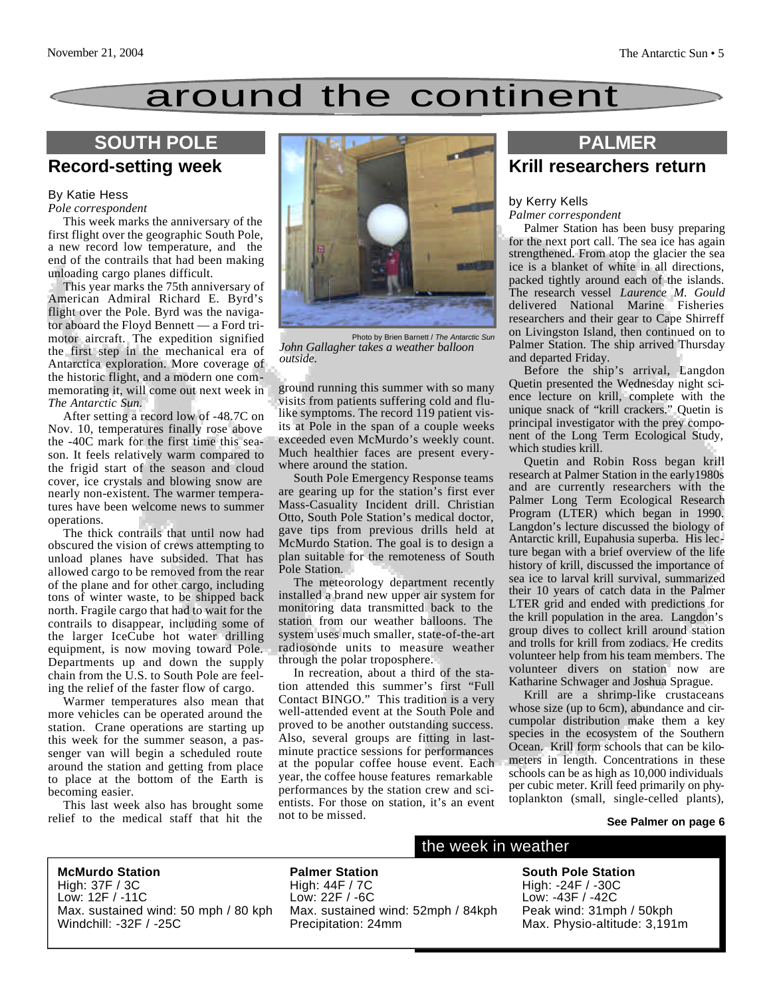## around the continent

## **Record-setting week**

#### By Katie Hess

#### *Pole correspondent*

This week marks the anniversary of the first flight over the geographic South Pole, a new record low temperature, and the end of the contrails that had been making unloading cargo planes difficult.

This year marks the 75th anniversary of American Admiral Richard E. Byrd's flight over the Pole. Byrd was the navigator aboard the Floyd Bennett — a Ford trimotor aircraft. The expedition signified the first step in the mechanical era of Antarctica exploration. More coverage of the historic flight, and a modern one commemorating it, will come out next week in *The Antarctic Sun.*

After setting a record low of -48.7C on Nov. 10, temperatures finally rose above the -40C mark for the first time this season. It feels relatively warm compared to the frigid start of the season and cloud cover, ice crystals and blowing snow are nearly non-existent. The warmer temperatures have been welcome news to summer operations.

The thick contrails that until now had obscured the vision of crews attempting to unload planes have subsided. That has allowed cargo to be removed from the rear of the plane and for other cargo, including tons of winter waste, to be shipped back north. Fragile cargo that had to wait for the contrails to disappear, including some of the larger IceCube hot water drilling equipment, is now moving toward Pole. Departments up and down the supply chain from the U.S. to South Pole are feeling the relief of the faster flow of cargo.

Warmer temperatures also mean that more vehicles can be operated around the station. Crane operations are starting up this week for the summer season, a passenger van will begin a scheduled route around the station and getting from place to place at the bottom of the Earth is becoming easier.

This last week also has brought some relief to the medical staff that hit the



Photo by Brien Barnett / *The Antarctic Sun John Gallagher takes a weather balloon outside.*

ground running this summer with so many visits from patients suffering cold and flulike symptoms. The record 119 patient visits at Pole in the span of a couple weeks exceeded even McMurdo's weekly count. Much healthier faces are present everywhere around the station.

South Pole Emergency Response teams are gearing up for the station's first ever Mass-Casuality Incident drill. Christian Otto, South Pole Station's medical doctor, gave tips from previous drills held at McMurdo Station. The goal is to design a plan suitable for the remoteness of South Pole Station.

The meteorology department recently installed a brand new upper air system for monitoring data transmitted back to the station from our weather balloons. The system uses much smaller, state-of-the-art radiosonde units to measure weather through the polar troposphere.

In recreation, about a third of the station attended this summer's first "Full Contact BINGO." This tradition is a very well-attended event at the South Pole and proved to be another outstanding success. Also, several groups are fitting in lastminute practice sessions for performances at the popular coffee house event. Each year, the coffee house features remarkable performances by the station crew and scientists. For those on station, it's an event not to be missed.

## **Krill researchers return**

#### by Kerry Kells *Palmer correspondent*

Palmer Station has been busy preparing for the next port call. The sea ice has again strengthened. From atop the glacier the sea ice is a blanket of white in all directions, packed tightly around each of the islands. The research vessel *Laurence M. Gould* delivered National Marine Fisheries researchers and their gear to Cape Shirreff on Livingston Island, then continued on to Palmer Station. The ship arrived Thursday and departed Friday.

Before the ship's arrival, Langdon Quetin presented the Wednesday night science lecture on krill, complete with the unique snack of "krill crackers." Quetin is principal investigator with the prey component of the Long Term Ecological Study, which studies krill.

Quetin and Robin Ross began krill research at Palmer Station in the early1980s and are currently researchers with the Palmer Long Term Ecological Research Program (LTER) which began in 1990. Langdon's lecture discussed the biology of Antarctic krill, Eupahusia superba. His lecture began with a brief overview of the life history of krill, discussed the importance of sea ice to larval krill survival, summarized their 10 years of catch data in the Palmer LTER grid and ended with predictions for the krill population in the area. Langdon's group dives to collect krill around station and trolls for krill from zodiacs. He credits volunteer help from his team members. The volunteer divers on station now are Katharine Schwager and Joshua Sprague.

Krill are a shrimp-like crustaceans whose size (up to 6cm), abundance and circumpolar distribution make them a key species in the ecosystem of the Southern Ocean. Krill form schools that can be kilometers in length. Concentrations in these schools can be as high as 10,000 individuals per cubic meter. Krill feed primarily on phytoplankton (small, single-celled plants),

#### **See Palmer on page 6**

**McMurdo Station** High: 37F / 3C Low: 12F / -11C Max. sustained wind: 50 mph / 80 kph Windchill: -32F / -25C

**Palmer Station** High: 44F / 7C Low: 22F / -6C Max. sustained wind: 52mph / 84kph Precipitation: 24mm

#### the week in weather

**South Pole Station** High: -24F / -30C Low: -43F / -42C Peak wind: 31mph / 50kph Max. Physio-altitude: 3,191m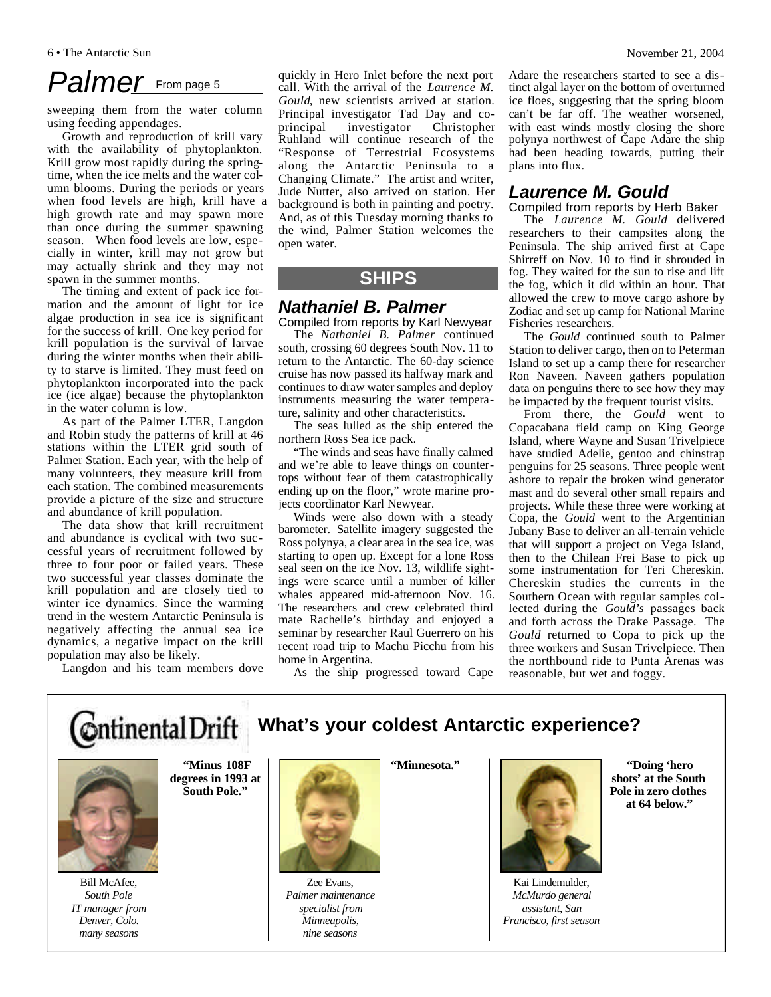## Palmer From page 5

sweeping them from the water column using feeding appendages.

Growth and reproduction of krill vary with the availability of phytoplankton. Krill grow most rapidly during the springtime, when the ice melts and the water column blooms. During the periods or years when food levels are high, krill have a high growth rate and may spawn more than once during the summer spawning season. When food levels are low, especially in winter, krill may not grow but may actually shrink and they may not spawn in the summer months.

The timing and extent of pack ice formation and the amount of light for ice algae production in sea ice is significant for the success of krill. One key period for krill population is the survival of larvae during the winter months when their ability to starve is limited. They must feed on phytoplankton incorporated into the pack ice (ice algae) because the phytoplankton in the water column is low.

As part of the Palmer LTER, Langdon and Robin study the patterns of krill at 46 stations within the LTER grid south of Palmer Station. Each year, with the help of many volunteers, they measure krill from each station. The combined measurements provide a picture of the size and structure and abundance of krill population.

The data show that krill recruitment and abundance is cyclical with two successful years of recruitment followed by three to four poor or failed years. These two successful year classes dominate the krill population and are closely tied to winter ice dynamics. Since the warming trend in the western Antarctic Peninsula is negatively affecting the annual sea ice dynamics, a negative impact on the krill population may also be likely.

Langdon and his team members dove

quickly in Hero Inlet before the next port call. With the arrival of the *Laurence M. Gould*, new scientists arrived at station. Principal investigator Tad Day and co-<br>principal investigator Christonher investigator Christopher Ruhland will continue research of the "Response of Terrestrial Ecosystems along the Antarctic Peninsula to a Changing Climate." The artist and writer, Jude Nutter, also arrived on station. Her background is both in painting and poetry. And, as of this Tuesday morning thanks to the wind, Palmer Station welcomes the open water.

### **SHIPS**

#### *Nathaniel B. Palmer*

Compiled from reports by Karl Newyear The *Nathaniel B. Palmer* continued south, crossing 60 degrees South Nov. 11 to return to the Antarctic. The 60-day science cruise has now passed its halfway mark and continues to draw water samples and deploy instruments measuring the water temperature, salinity and other characteristics.

The seas lulled as the ship entered the northern Ross Sea ice pack.

"The winds and seas have finally calmed and we're able to leave things on countertops without fear of them catastrophically ending up on the floor," wrote marine projects coordinator Karl Newyear.

Winds were also down with a steady barometer. Satellite imagery suggested the Ross polynya, a clear area in the sea ice, was starting to open up. Except for a lone Ross seal seen on the ice Nov. 13, wildlife sightings were scarce until a number of killer whales appeared mid-afternoon Nov. 16. The researchers and crew celebrated third mate Rachelle's birthday and enjoyed a seminar by researcher Raul Guerrero on his recent road trip to Machu Picchu from his home in Argentina.

Adare the researchers started to see a distinct algal layer on the bottom of overturned ice floes, suggesting that the spring bloom can't be far off. The weather worsened, with east winds mostly closing the shore polynya northwest of Cape Adare the ship had been heading towards, putting their plans into flux.

### *Laurence M. Gould*

Compiled from reports by Herb Baker

The *Laurence M. Gould* delivered researchers to their campsites along the Peninsula. The ship arrived first at Cape Shirreff on Nov. 10 to find it shrouded in fog. They waited for the sun to rise and lift the fog, which it did within an hour. That allowed the crew to move cargo ashore by Zodiac and set up camp for National Marine Fisheries researchers.

The *Gould* continued south to Palmer Station to deliver cargo, then on to Peterman Island to set up a camp there for researcher Ron Naveen. Naveen gathers population data on penguins there to see how they may be impacted by the frequent tourist visits.

From there, the *Gould* went to Copacabana field camp on King George Island, where Wayne and Susan Trivelpiece have studied Adelie, gentoo and chinstrap penguins for 25 seasons. Three people went ashore to repair the broken wind generator mast and do several other small repairs and projects. While these three were working at Copa, the *Gould* went to the Argentinian Jubany Base to deliver an all-terrain vehicle that will support a project on Vega Island, then to the Chilean Frei Base to pick up some instrumentation for Teri Chereskin. Chereskin studies the currents in the Southern Ocean with regular samples collected during the *Gould's* passages back and forth across the Drake Passage. The *Gould* returned to Copa to pick up the three workers and Susan Trivelpiece. Then the northbound ride to Punta Arenas was reasonable, but wet and foggy.

As the ship progressed toward Cape

#### **Ontinental Drift What's your coldest Antarctic experience?**



**"Minus 108F degrees in 1993 at**

Bill McAfee, *South Pole IT manager from Denver, Colo. many seasons*

**South Pole."** 



Zee Evans, *Palmer maintenance specialist from Minneapolis, nine seasons*

**"Minnesota."** 



Kai Lindemulder, *McMurdo general assistant, San Francisco, first season*

**"Doing 'hero shots' at the South Pole in zero clothes at 64 below."**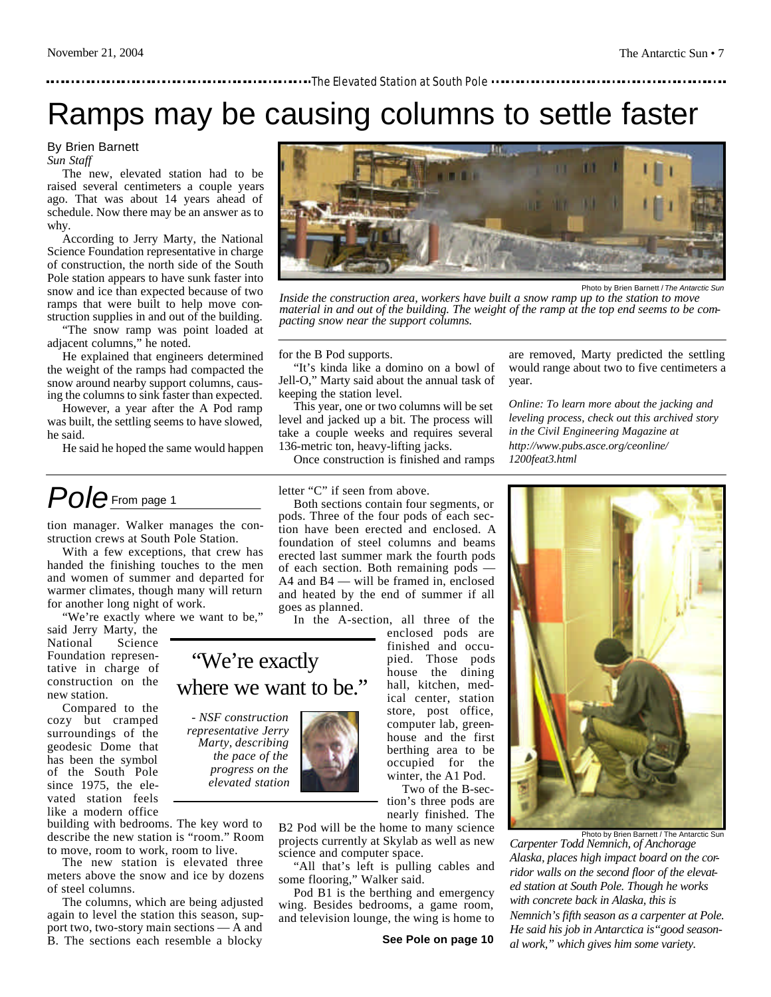#### **The Elevated Station at South Pole Throw** The Elevated Station at South Pole

## Ramps may be causing columns to settle faster

#### By Brien Barnett

*Sun Staff*

The new, elevated station had to be raised several centimeters a couple years ago. That was about 14 years ahead of schedule. Now there may be an answer as to why.

According to Jerry Marty, the National Science Foundation representative in charge of construction, the north side of the South Pole station appears to have sunk faster into snow and ice than expected because of two ramps that were built to help move construction supplies in and out of the building.

"The snow ramp was point loaded at adjacent columns," he noted.

He explained that engineers determined the weight of the ramps had compacted the snow around nearby support columns, causing the columns to sink faster than expected.

However, a year after the A Pod ramp was built, the settling seems to have slowed, he said.

He said he hoped the same would happen

## *Pole* From page 1

tion manager. Walker manages the construction crews at South Pole Station.

With a few exceptions, that crew has handed the finishing touches to the men and women of summer and departed for warmer climates, though many will return for another long night of work.

"We're exactly where we want to be,"

said Jerry Marty, the National Science Foundation representative in charge of construction on the new station.

Compared to the cozy but cramped surroundings of the geodesic Dome that has been the symbol of the South Pole since 1975, the elevated station feels like a modern office

building with bedrooms. The key word to describe the new station is "room." Room to move, room to work, room to live.

The new station is elevated three meters above the snow and ice by dozens of steel columns.

The columns, which are being adjusted again to level the station this season, support two, two-story main sections — A and B. The sections each resemble a blocky



Photo by Brien Barnett / *The Antarctic Sun*

*Inside the construction area, workers have built a snow ramp up to the station to move material in and out of the building. The weight of the ramp at the top end seems to be compacting snow near the support columns.*

for the B Pod supports.

"It's kinda like a domino on a bowl of Jell-O," Marty said about the annual task of keeping the station level.

This year, one or two columns will be set level and jacked up a bit. The process will take a couple weeks and requires several 136-metric ton, heavy-lifting jacks.

Once construction is finished and ramps

letter "C" if seen from above.

Both sections contain four segments, or pods. Three of the four pods of each section have been erected and enclosed. A foundation of steel columns and beams erected last summer mark the fourth pods of each section. Both remaining pods — A4 and B4 — will be framed in, enclosed and heated by the end of summer if all goes as planned.

In the A-section, all three of the

### "We're exactly where we want to be."

*- NSF construction representative Jerry Marty, describing the pace of the progress on the elevated station*



tion's three pods are nearly finished. The B2 Pod will be the home to many science

projects currently at Skylab as well as new science and computer space.

"All that's left is pulling cables and some flooring," Walker said.

Pod B1 is the berthing and emergency wing. Besides bedrooms, a game room, and television lounge, the wing is home to are removed, Marty predicted the settling would range about two to five centimeters a year.

*Online: To learn more about the jacking and leveling process, check out this archived story in the Civil Engineering Magazine at http://www.pubs.asce.org/ceonline/ 1200feat3.html*



*Carpenter Todd Nemnich, of Anchorage Alaska, places high impact board on the corridor walls on the second floor of the elevated station at South Pole. Though he works with concrete back in Alaska, this is Nemnich's fifth season as a carpenter at Pole. He said his job in Antarctica is"good seasonal work," which gives him some variety.*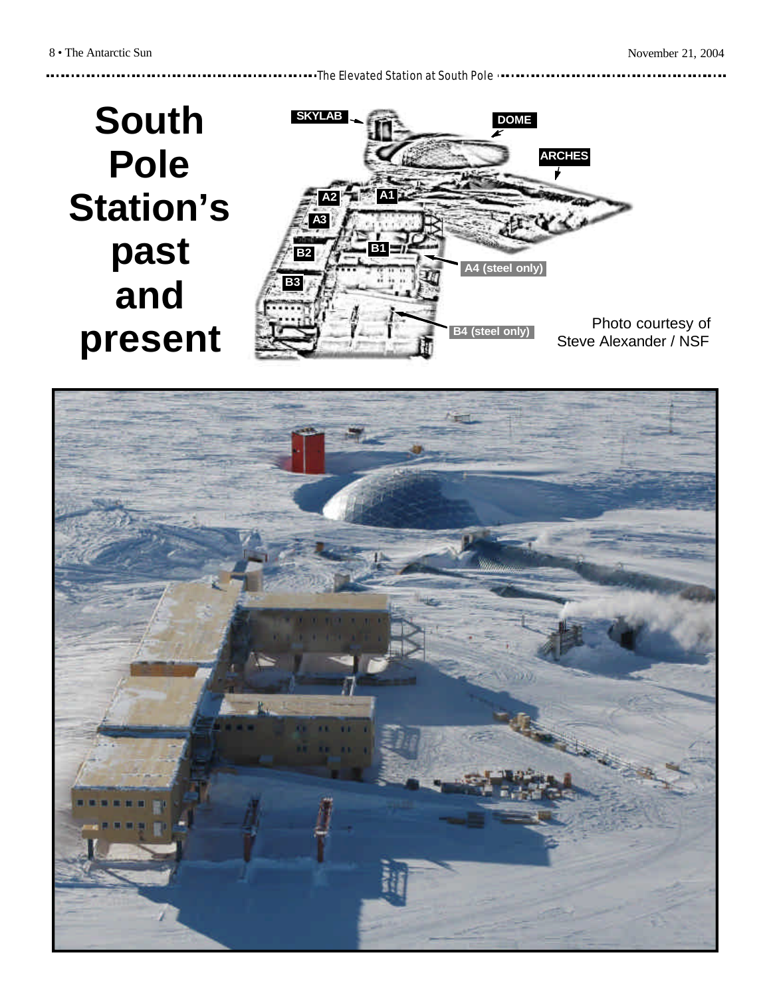<u>. . . . . . . .</u>

The Elevated Station at South Pole

## **South Pole Station's past and present**



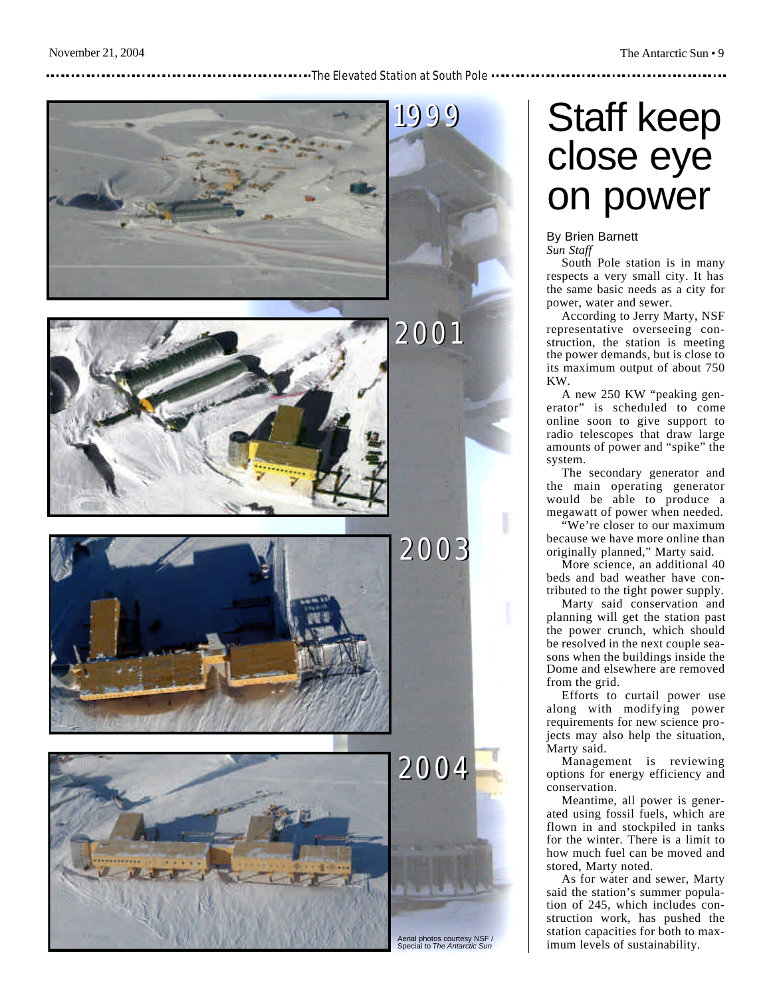#### **The Elevated Station at South Pole**



#### Aerial photos courtesy NSF / Special to *The Antarctic Sun*

## Staff keep close eye on power

#### By Brien Barnett *Sun Staff*

South Pole station is in many respects a very small city. It has the same basic needs as a city for power, water and sewer.

According to Jerry Marty, NSF representative overseeing con struction, the station is meeting the power demands, but is close to its maximum output of about 750 KW.

A new 250 KW "peaking gen erator" is scheduled to come online soon to give support to radio telescopes that draw large amounts of power and "spike" the system.

The secondary generator and the main operating generator would be able to produce a megawatt of power when needed.

"We're closer to our maximum because we have more online than originally planned," Marty said.

More science, an additional 40 beds and bad weather have con tributed to the tight power supply.

Marty said conservation and planning will get the station past the power crunch, which should be resolved in the next couple sea sons when the buildings inside the Dome and elsewhere are removed from the grid.

Efforts to curtail power use along with modifying power requirements for new science pro jects may also help the situation, Marty said.

Management is reviewing options for energy efficiency and conservation.

Meantime, all power is gener ated using fossil fuels, which are flown in and stockpiled in tanks for the winter. There is a limit to how much fuel can be moved and stored, Marty noted.

As for water and sewer, Marty said the station's summer popula tion of 245, which includes con struction work, has pushed the station capacities for both to max imum levels of sustainability.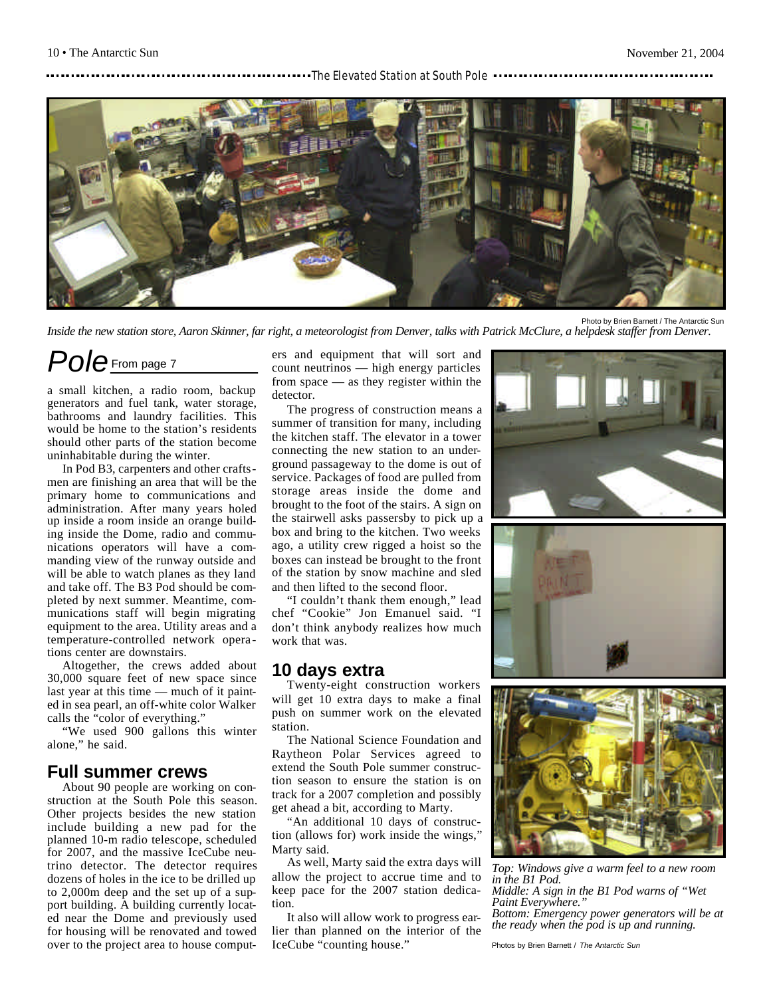#### **The Elevated Station at South Pole The Little Station** at South Pole



Photo by Brien Barnett / The Antarctic Sun

*Inside the new station store, Aaron Skinner, far right, a meteorologist from Denver, talks with Patrick McClure, a helpdesk staffer from Denver.*

### *Pole* From page 7

a small kitchen, a radio room, backup generators and fuel tank, water storage, bathrooms and laundry facilities. This would be home to the station's residents should other parts of the station become uninhabitable during the winter.

In Pod B3, carpenters and other craftsmen are finishing an area that will be the primary home to communications and administration. After many years holed up inside a room inside an orange building inside the Dome, radio and communications operators will have a commanding view of the runway outside and will be able to watch planes as they land and take off. The B3 Pod should be completed by next summer. Meantime, communications staff will begin migrating equipment to the area. Utility areas and a temperature-controlled network operations center are downstairs.

Altogether, the crews added about 30,000 square feet of new space since last year at this time — much of it painted in sea pearl, an off-white color Walker calls the "color of everything."

"We used 900 gallons this winter alone," he said.

#### **Full summer crews**

About 90 people are working on construction at the South Pole this season. Other projects besides the new station include building a new pad for the planned 10-m radio telescope, scheduled for 2007, and the massive IceCube neutrino detector. The detector requires dozens of holes in the ice to be drilled up to 2,000m deep and the set up of a support building. A building currently located near the Dome and previously used for housing will be renovated and towed over to the project area to house computers and equipment that will sort and count neutrinos — high energy particles from space — as they register within the detector.

The progress of construction means a summer of transition for many, including the kitchen staff. The elevator in a tower connecting the new station to an underground passageway to the dome is out of service. Packages of food are pulled from storage areas inside the dome and brought to the foot of the stairs. A sign on the stairwell asks passersby to pick up a box and bring to the kitchen. Two weeks ago, a utility crew rigged a hoist so the boxes can instead be brought to the front of the station by snow machine and sled and then lifted to the second floor.

"I couldn't thank them enough," lead chef "Cookie" Jon Emanuel said. "I don't think anybody realizes how much work that was.

#### **10 days extra**

Twenty-eight construction workers will get 10 extra days to make a final push on summer work on the elevated station.

The National Science Foundation and Raytheon Polar Services agreed to extend the South Pole summer construction season to ensure the station is on track for a 2007 completion and possibly get ahead a bit, according to Marty.

"An additional 10 days of construction (allows for) work inside the wings," Marty said.

As well, Marty said the extra days will allow the project to accrue time and to keep pace for the 2007 station dedication.

It also will allow work to progress earlier than planned on the interior of the IceCube "counting house."







*Top: Windows give a warm feel to a new room in the B1 Pod. Middle: A sign in the B1 Pod warns of "Wet Paint Everywhere." Bottom: Emergency power generators will be at the ready when the pod is up and running.*

Photos by Brien Barnett / *The Antarctic Sun*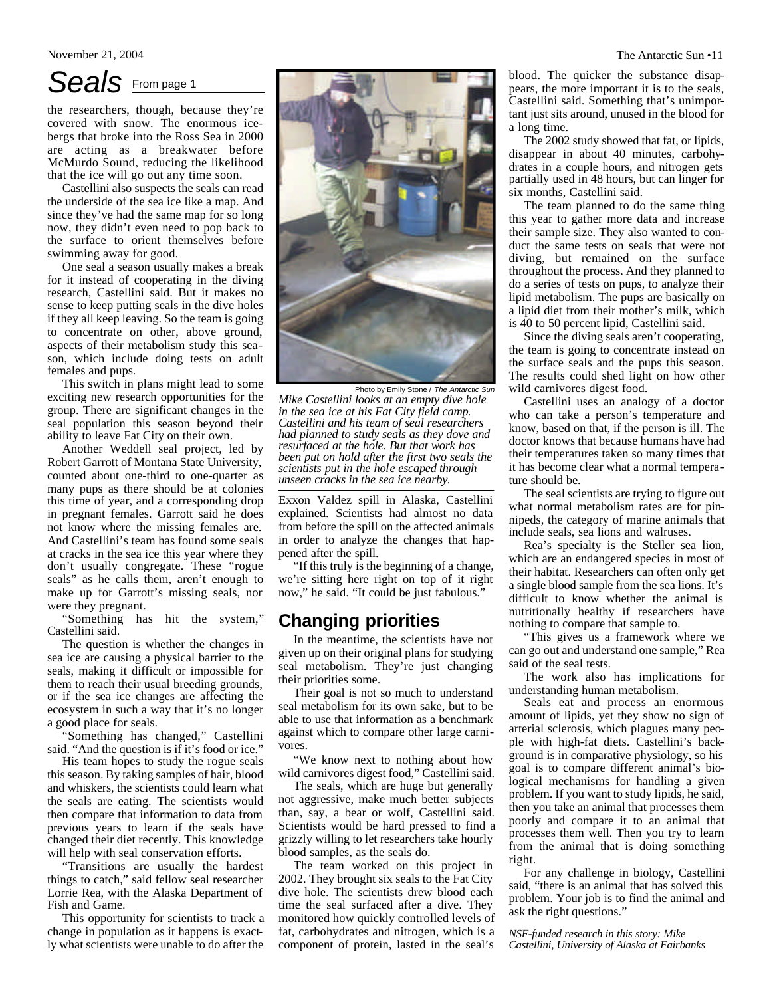### *Seals* From page 1

the researchers, though, because they're covered with snow. The enormous icebergs that broke into the Ross Sea in 2000 are acting as a breakwater before McMurdo Sound, reducing the likelihood that the ice will go out any time soon.

Castellini also suspects the seals can read the underside of the sea ice like a map. And since they've had the same map for so long now, they didn't even need to pop back to the surface to orient themselves before swimming away for good.

One seal a season usually makes a break for it instead of cooperating in the diving research, Castellini said. But it makes no sense to keep putting seals in the dive holes if they all keep leaving. So the team is going to concentrate on other, above ground, aspects of their metabolism study this season, which include doing tests on adult females and pups.

This switch in plans might lead to some exciting new research opportunities for the group. There are significant changes in the seal population this season beyond their ability to leave Fat City on their own.

Another Weddell seal project, led by Robert Garrott of Montana State University, counted about one-third to one-quarter as many pups as there should be at colonies this time of year, and a corresponding drop in pregnant females. Garrott said he does not know where the missing females are. And Castellini's team has found some seals at cracks in the sea ice this year where they don't usually congregate. These "rogue seals" as he calls them, aren't enough to make up for Garrott's missing seals, nor were they pregnant.

"Something has hit the system," Castellini said.

The question is whether the changes in sea ice are causing a physical barrier to the seals, making it difficult or impossible for them to reach their usual breeding grounds, or if the sea ice changes are affecting the ecosystem in such a way that it's no longer a good place for seals.

"Something has changed," Castellini said. "And the question is if it's food or ice."

His team hopes to study the rogue seals this season. By taking samples of hair, blood and whiskers, the scientists could learn what the seals are eating. The scientists would then compare that information to data from previous years to learn if the seals have changed their diet recently. This knowledge will help with seal conservation efforts.

"Transitions are usually the hardest things to catch," said fellow seal researcher Lorrie Rea, with the Alaska Department of Fish and Game.

This opportunity for scientists to track a change in population as it happens is exactly what scientists were unable to do after the



*Mike Castellini looks at an empty dive hole in the sea ice at his Fat City field camp. Castellini and his team of seal researchers had planned to study seals as they dove and resurfaced at the hole. But that work has been put on hold after the first two seals the scientists put in the hole escaped through unseen cracks in the sea ice nearby.*

Exxon Valdez spill in Alaska, Castellini explained. Scientists had almost no data from before the spill on the affected animals in order to analyze the changes that happened after the spill.

"If this truly is the beginning of a change, we're sitting here right on top of it right now," he said. "It could be just fabulous."

#### **Changing priorities**

In the meantime, the scientists have not given up on their original plans for studying seal metabolism. They're just changing their priorities some.

Their goal is not so much to understand seal metabolism for its own sake, but to be able to use that information as a benchmark against which to compare other large carnivores.

"We know next to nothing about how wild carnivores digest food," Castellini said.

The seals, which are huge but generally not aggressive, make much better subjects than, say, a bear or wolf, Castellini said. Scientists would be hard pressed to find a grizzly willing to let researchers take hourly blood samples, as the seals do.

The team worked on this project in 2002. They brought six seals to the Fat City dive hole. The scientists drew blood each time the seal surfaced after a dive. They monitored how quickly controlled levels of fat, carbohydrates and nitrogen, which is a component of protein, lasted in the seal's

blood. The quicker the substance disappears, the more important it is to the seals, Castellini said. Something that's unimportant just sits around, unused in the blood for a long time.

The 2002 study showed that fat, or lipids, disappear in about 40 minutes, carbohydrates in a couple hours, and nitrogen gets partially used in 48 hours, but can linger for six months, Castellini said.

The team planned to do the same thing this year to gather more data and increase their sample size. They also wanted to conduct the same tests on seals that were not diving, but remained on the surface throughout the process. And they planned to do a series of tests on pups, to analyze their lipid metabolism. The pups are basically on a lipid diet from their mother's milk, which is 40 to 50 percent lipid, Castellini said.

Since the diving seals aren't cooperating, the team is going to concentrate instead on the surface seals and the pups this season. The results could shed light on how other wild carnivores digest food.

Castellini uses an analogy of a doctor who can take a person's temperature and know, based on that, if the person is ill. The doctor knows that because humans have had their temperatures taken so many times that it has become clear what a normal temperature should be.

The seal scientists are trying to figure out what normal metabolism rates are for pinnipeds, the category of marine animals that include seals, sea lions and walruses.

Rea's specialty is the Steller sea lion, which are an endangered species in most of their habitat. Researchers can often only get a single blood sample from the sea lions. It's difficult to know whether the animal is nutritionally healthy if researchers have nothing to compare that sample to.

"This gives us a framework where we can go out and understand one sample," Rea said of the seal tests.

The work also has implications for understanding human metabolism.

Seals eat and process an enormous amount of lipids, yet they show no sign of arterial sclerosis, which plagues many people with high-fat diets. Castellini's background is in comparative physiology, so his goal is to compare different animal's biological mechanisms for handling a given problem. If you want to study lipids, he said, then you take an animal that processes them poorly and compare it to an animal that processes them well. Then you try to learn from the animal that is doing something right.

For any challenge in biology, Castellini said, "there is an animal that has solved this problem. Your job is to find the animal and ask the right questions."

*NSF-funded research in this story: Mike Castellini, University of Alaska at Fairbanks*